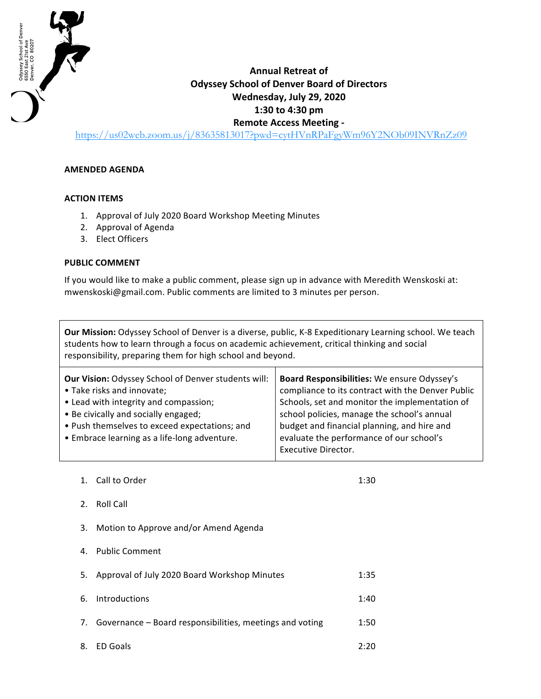

## **Annual Retreat of Odyssey School of Denver Board of Directors Wednesday, July 29, 2020 1:30 to 4:30 pm Remote Access Meeting -**

https://us02web.zoom.us/j/83635813017?pwd=cytHVnRPaFgyWm96Y2NOb09INVRnZz09

## **AMENDED AGENDA**

## **ACTION ITEMS**

- 1. Approval of July 2020 Board Workshop Meeting Minutes
- 2. Approval of Agenda
- 3. Elect Officers

## **PUBLIC COMMENT**

If you would like to make a public comment, please sign up in advance with Meredith Wenskoski at: mwenskoski@gmail.com. Public comments are limited to 3 minutes per person.

**Our Mission:** Odyssey School of Denver is a diverse, public, K-8 Expeditionary Learning school. We teach students how to learn through a focus on academic achievement, critical thinking and social responsibility, preparing them for high school and beyond.

| Board Responsibilities: We ensure Odyssey's       |
|---------------------------------------------------|
| compliance to its contract with the Denver Public |
| Schools, set and monitor the implementation of    |
| school policies, manage the school's annual       |
| budget and financial planning, and hire and       |
| evaluate the performance of our school's          |
| <b>Executive Director.</b>                        |
|                                                   |

1. Call to Order 2.1:30 2. Roll Call 3. Motion to Approve and/or Amend Agenda 4. Public Comment 5. Approval of July 2020 Board Workshop Minutes 1:35 6. Introductions 1:40 7. Governance – Board responsibilities, meetings and voting 1:50 8. ED Goals 2:20